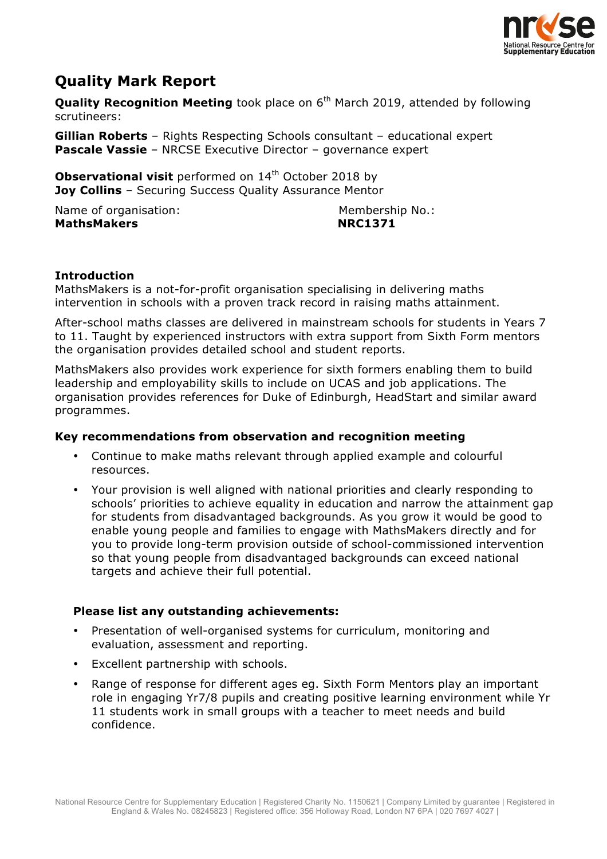

# **Quality Mark Report**

**Quality Recognition Meeting** took place on 6<sup>th</sup> March 2019, attended by following scrutineers:

**Gillian Roberts** – Rights Respecting Schools consultant – educational expert **Pascale Vassie** – NRCSE Executive Director – governance expert

**Observational visit** performed on 14<sup>th</sup> October 2018 by **Joy Collins** – Securing Success Quality Assurance Mentor

Name of organisation: Membership No.: MathsMakers **NRC1371** 

## **Introduction**

MathsMakers is a not-for-profit organisation specialising in delivering maths intervention in schools with a proven track record in raising maths attainment.

After-school maths classes are delivered in mainstream schools for students in Years 7 to 11. Taught by experienced instructors with extra support from Sixth Form mentors the organisation provides detailed school and student reports.

MathsMakers also provides work experience for sixth formers enabling them to build leadership and employability skills to include on UCAS and job applications. The organisation provides references for Duke of Edinburgh, HeadStart and similar award programmes.

# **Key recommendations from observation and recognition meeting**

- Continue to make maths relevant through applied example and colourful resources.
- Your provision is well aligned with national priorities and clearly responding to schools' priorities to achieve equality in education and narrow the attainment gap for students from disadvantaged backgrounds. As you grow it would be good to enable young people and families to engage with MathsMakers directly and for you to provide long-term provision outside of school-commissioned intervention so that young people from disadvantaged backgrounds can exceed national targets and achieve their full potential.

# **Please list any outstanding achievements:**

- Presentation of well-organised systems for curriculum, monitoring and evaluation, assessment and reporting.
- Excellent partnership with schools.
- Range of response for different ages eg. Sixth Form Mentors play an important role in engaging Yr7/8 pupils and creating positive learning environment while Yr 11 students work in small groups with a teacher to meet needs and build confidence.